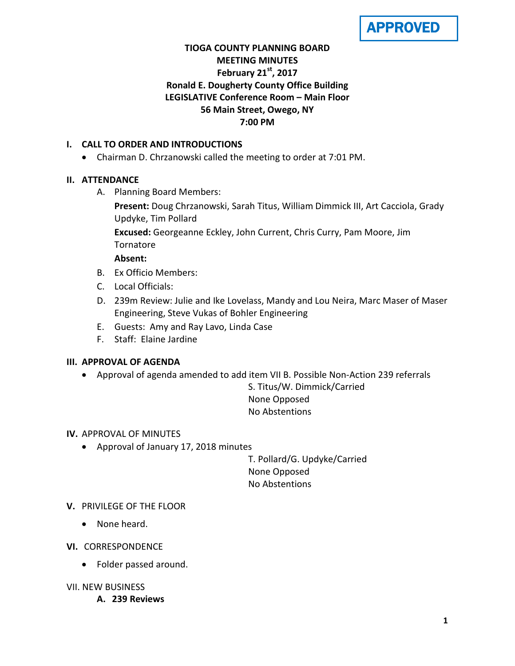APPROVED

# **TIOGA COUNTY PLANNING BOARD MEETING MINUTES February 21st, 2017 Ronald E. Dougherty County Office Building LEGISLATIVE Conference Room – Main Floor 56 Main Street, Owego, NY 7:00 PM**

# **I. CALL TO ORDER AND INTRODUCTIONS**

• Chairman D. Chrzanowski called the meeting to order at 7:01 PM.

# **II. ATTENDANCE**

A. Planning Board Members:

**Present:** Doug Chrzanowski, Sarah Titus, William Dimmick III, Art Cacciola, Grady Updyke, Tim Pollard

**Excused:** Georgeanne Eckley, John Current, Chris Curry, Pam Moore, Jim **Tornatore** 

## **Absent:**

- B. Ex Officio Members:
- C. Local Officials:
- D. 239m Review: Julie and Ike Lovelass, Mandy and Lou Neira, Marc Maser of Maser Engineering, Steve Vukas of Bohler Engineering
- E. Guests: Amy and Ray Lavo, Linda Case
- F. Staff: Elaine Jardine

## **III. APPROVAL OF AGENDA**

• Approval of agenda amended to add item VII B. Possible Non-Action 239 referrals

S. Titus/W. Dimmick/Carried None Opposed No Abstentions

## **IV.** APPROVAL OF MINUTES

• Approval of January 17, 2018 minutes

T. Pollard/G. Updyke/Carried None Opposed No Abstentions

# **V.** PRIVILEGE OF THE FLOOR

- None heard.
- **VI.** CORRESPONDENCE
	- Folder passed around.

## VII. NEW BUSINESS

**A. 239 Reviews**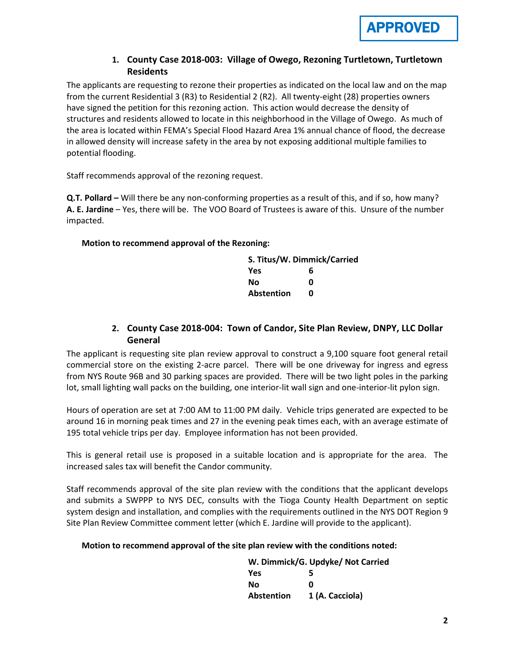

# **1. County Case 2018-003: Village of Owego, Rezoning Turtletown, Turtletown Residents**

The applicants are requesting to rezone their properties as indicated on the local law and on the map from the current Residential 3 (R3) to Residential 2 (R2). All twenty-eight (28) properties owners have signed the petition for this rezoning action. This action would decrease the density of structures and residents allowed to locate in this neighborhood in the Village of Owego. As much of the area is located within FEMA's Special Flood Hazard Area 1% annual chance of flood, the decrease in allowed density will increase safety in the area by not exposing additional multiple families to potential flooding.

Staff recommends approval of the rezoning request.

**Q.T. Pollard –** Will there be any non-conforming properties as a result of this, and if so, how many? **A. E. Jardine** – Yes, there will be. The VOO Board of Trustees is aware of this. Unsure of the number impacted.

#### **Motion to recommend approval of the Rezoning:**

| S. Titus/W. Dimmick/Carried |   |  |
|-----------------------------|---|--|
| <b>Yes</b>                  | 6 |  |
| No                          | n |  |
| <b>Abstention</b>           | n |  |

# **2. County Case 2018-004: Town of Candor, Site Plan Review, DNPY, LLC Dollar General**

The applicant is requesting site plan review approval to construct a 9,100 square foot general retail commercial store on the existing 2-acre parcel. There will be one driveway for ingress and egress from NYS Route 96B and 30 parking spaces are provided. There will be two light poles in the parking lot, small lighting wall packs on the building, one interior-lit wall sign and one-interior-lit pylon sign.

Hours of operation are set at 7:00 AM to 11:00 PM daily. Vehicle trips generated are expected to be around 16 in morning peak times and 27 in the evening peak times each, with an average estimate of 195 total vehicle trips per day. Employee information has not been provided.

This is general retail use is proposed in a suitable location and is appropriate for the area. The increased sales tax will benefit the Candor community.

Staff recommends approval of the site plan review with the conditions that the applicant develops and submits a SWPPP to NYS DEC, consults with the Tioga County Health Department on septic system design and installation, and complies with the requirements outlined in the NYS DOT Region 9 Site Plan Review Committee comment letter (which E. Jardine will provide to the applicant).

#### **Motion to recommend approval of the site plan review with the conditions noted:**

|                   | W. Dimmick/G. Updyke/ Not Carried |
|-------------------|-----------------------------------|
| <b>Yes</b>        | 5                                 |
| Nο                | n                                 |
| <b>Abstention</b> | 1 (A. Cacciola)                   |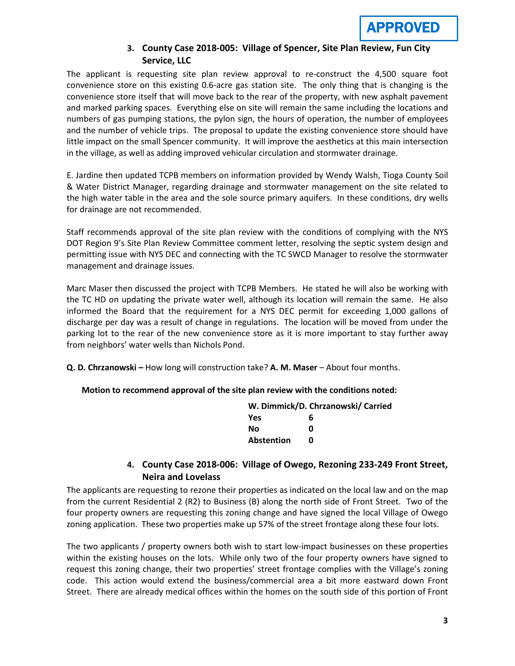# **3. County Case 2018-005: Village of Spencer, Site Plan Review, Fun City Service, LLC**

The applicant is requesting site plan review approval to re-construct the 4,500 square foot convenience store on this existing 0.6-acre gas station site. The only thing that is changing is the convenience store itself that will move back to the rear of the property, with new asphalt pavement and marked parking spaces. Everything else on site will remain the same including the locations and numbers of gas pumping stations, the pylon sign, the hours of operation, the number of employees and the number of vehicle trips. The proposal to update the existing convenience store should have little impact on the small Spencer community. It will improve the aesthetics at this main intersection in the village, as well as adding improved vehicular circulation and stormwater drainage.

E. Jardine then updated TCPB members on information provided by Wendy Walsh, Tioga County Soil & Water District Manager, regarding drainage and stormwater management on the site related to the high water table in the area and the sole source primary aquifers. In these conditions, dry wells for drainage are not recommended.

Staff recommends approval of the site plan review with the conditions of complying with the NYS DOT Region 9's Site Plan Review Committee comment letter, resolving the septic system design and permitting issue with NYS DEC and connecting with the TC SWCD Manager to resolve the stormwater management and drainage issues.

Marc Maser then discussed the project with TCPB Members. He stated he will also be working with the TC HD on updating the private water well, although its location will remain the same. He also informed the Board that the requirement for a NYS DEC permit for exceeding 1,000 gallons of discharge per day was a result of change in regulations. The location will be moved from under the parking lot to the rear of the new convenience store as it is more important to stay further away from neighbors' water wells than Nichols Pond.

**Q. D. Chrzanowski –** How long will construction take? **A. M. Maser** – About four months.

#### **Motion to recommend approval of the site plan review with the conditions noted:**

|            | W. Dimmick/D. Chrzanowski/ Carried |
|------------|------------------------------------|
| Yes        | 6                                  |
| No         | n                                  |
| Abstention |                                    |

# **4. County Case 2018-006: Village of Owego, Rezoning 233-249 Front Street, Neira and Lovelass**

The applicants are requesting to rezone their properties as indicated on the local law and on the map from the current Residential 2 (R2) to Business (B) along the north side of Front Street. Two of the four property owners are requesting this zoning change and have signed the local Village of Owego zoning application. These two properties make up 57% of the street frontage along these four lots.

The two applicants / property owners both wish to start low-impact businesses on these properties within the existing houses on the lots. While only two of the four property owners have signed to request this zoning change, their two properties' street frontage complies with the Village's zoning code. This action would extend the business/commercial area a bit more eastward down Front Street. There are already medical offices within the homes on the south side of this portion of Front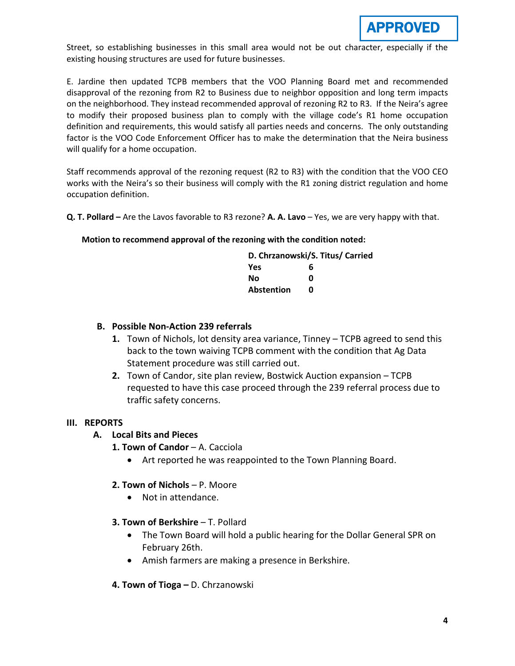

Street, so establishing businesses in this small area would not be out character, especially if the existing housing structures are used for future businesses.

E. Jardine then updated TCPB members that the VOO Planning Board met and recommended disapproval of the rezoning from R2 to Business due to neighbor opposition and long term impacts on the neighborhood. They instead recommended approval of rezoning R2 to R3. If the Neira's agree to modify their proposed business plan to comply with the village code's R1 home occupation definition and requirements, this would satisfy all parties needs and concerns. The only outstanding factor is the VOO Code Enforcement Officer has to make the determination that the Neira business will qualify for a home occupation.

Staff recommends approval of the rezoning request (R2 to R3) with the condition that the VOO CEO works with the Neira's so their business will comply with the R1 zoning district regulation and home occupation definition.

**Q. T. Pollard –** Are the Lavos favorable to R3 rezone? **A. A. Lavo** – Yes, we are very happy with that.

#### **Motion to recommend approval of the rezoning with the condition noted:**

| D. Chrzanowski/S. Titus/ Carried |   |  |
|----------------------------------|---|--|
| <b>Yes</b>                       | 6 |  |
| Nο                               | ŋ |  |
| <b>Abstention</b>                | n |  |

## **B. Possible Non-Action 239 referrals**

- **1.** Town of Nichols, lot density area variance, Tinney TCPB agreed to send this back to the town waiving TCPB comment with the condition that Ag Data Statement procedure was still carried out.
- **2.** Town of Candor, site plan review, Bostwick Auction expansion TCPB requested to have this case proceed through the 239 referral process due to traffic safety concerns.

## **III. REPORTS**

- **A. Local Bits and Pieces**
	- **1. Town of Candor A. Cacciola** 
		- Art reported he was reappointed to the Town Planning Board.

## **2. Town of Nichols** – P. Moore

- Not in attendance.
- **3. Town of Berkshire**  T. Pollard
	- The Town Board will hold a public hearing for the Dollar General SPR on February 26th.
	- Amish farmers are making a presence in Berkshire.
- **4. Town of Tioga –** D. Chrzanowski